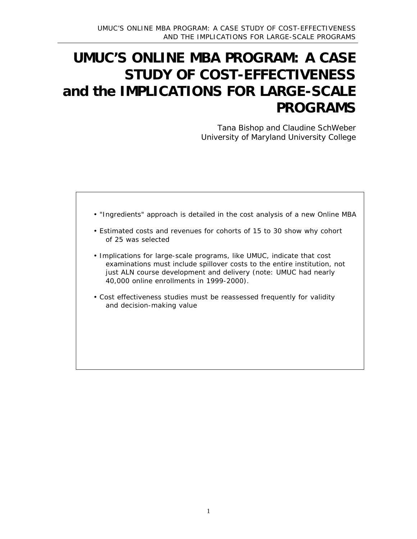# **UMUC'S ONLINE MBA PROGRAM: A CASE STUDY OF COST-EFFECTIVENESS and the IMPLICATIONS FOR LARGE-SCALE PROGRAMS**

*Tana Bishop and Claudine SchWeber University of Maryland University College*

• "Ingredients" approach is detailed in the cost analysis of a new Online MBA • Estimated costs and revenues for cohorts of 15 to 30 show why cohort of 25 was selected • Implications for large-scale programs, like UMUC, indicate that cost examinations must include spillover costs to the entire institution, not just ALN course development and delivery (note: UMUC had nearly 40,000 online enrollments in 1999-2000). • Cost effectiveness studies must be reassessed frequently for validity and decision-making value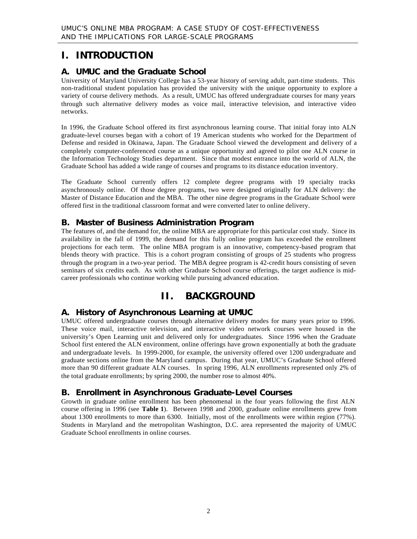### **I. INTRODUCTION**

#### **A. UMUC and the Graduate School**

University of Maryland University College has a 53-year history of serving adult, part-time students. This non-traditional student population has provided the university with the unique opportunity to explore a variety of course delivery methods. As a result, UMUC has offered undergraduate courses for many years through such alternative delivery modes as voice mail, interactive television, and interactive video networks.

In 1996, the Graduate School offered its first asynchronous learning course. That initial foray into ALN graduate-level courses began with a cohort of 19 American students who worked for the Department of Defense and resided in Okinawa, Japan. The Graduate School viewed the development and delivery of a completely computer-conferenced course as a unique opportunity and agreed to pilot one ALN course in the Information Technology Studies department. Since that modest entrance into the world of ALN, the Graduate School has added a wide range of courses and programs to its distance education inventory.

The Graduate School currently offers 12 complete degree programs with 19 specialty tracks asynchronously online. Of those degree programs, two were designed originally for ALN delivery: the Master of Distance Education and the MBA. The other nine degree programs in the Graduate School were offered first in the traditional classroom format and were converted later to online delivery.

#### **B. Master of Business Administration Program**

The features of, and the demand for, the online MBA are appropriate for this particular cost study. Since its availability in the fall of 1999, the demand for this fully online program has exceeded the enrollment projections for each term. The online MBA program is an innovative, competency-based program that blends theory with practice. This is a cohort program consisting of groups of 25 students who progress through the program in a two-year period. The MBA degree program is 42-credit hours consisting of seven seminars of six credits each. As with other Graduate School course offerings, the target audience is midcareer professionals who continue working while pursuing advanced education.

### **II. BACKGROUND**

#### **A. History of Asynchronous Learning at UMUC**

UMUC offered undergraduate courses through alternative delivery modes for many years prior to 1996. These voice mail, interactive television, and interactive video network courses were housed in the university's Open Learning unit and delivered only for undergraduates. Since 1996 when the Graduate School first entered the ALN environment, online offerings have grown exponentially at both the graduate and undergraduate levels. In 1999-2000, for example, the university offered over 1200 undergraduate and graduate sections online from the Maryland campus. During that year, UMUC's Graduate School offered more than 90 different graduate ALN courses. In spring 1996, ALN enrollments represented only 2% of the total graduate enrollments; by spring 2000, the number rose to almost 40%.

#### **B. Enrollment in Asynchronous Graduate-Level Courses**

Growth in graduate online enrollment has been phenomenal in the four years following the first ALN course offering in 1996 (see **Table 1**). Between 1998 and 2000, graduate online enrollments grew from about 1300 enrollments to more than 6300. Initially, most of the enrollments were within region (77%). Students in Maryland and the metropolitan Washington, D.C. area represented the majority of UMUC Graduate School enrollments in online courses.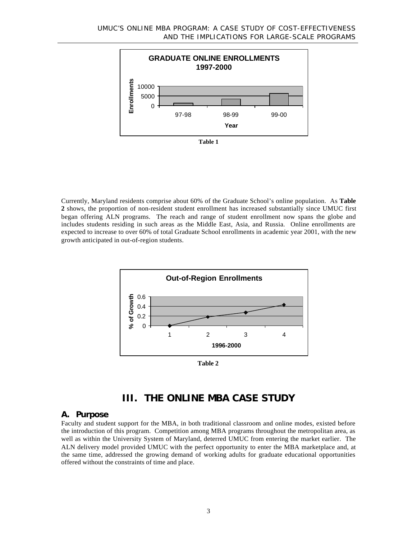

Currently, Maryland residents comprise about 60% of the Graduate School's online population. As **Table 2** shows, the proportion of non-resident student enrollment has increased substantially since UMUC first began offering ALN programs. The reach and range of student enrollment now spans the globe and includes students residing in such areas as the Middle East, Asia, and Russia. Online enrollments are expected to increase to over 60% of total Graduate School enrollments in academic year 2001, with the new growth anticipated in out-of-region students.



**Table 2**

### **III. THE ONLINE MBA CASE STUDY**

#### **A. Purpose**

Faculty and student support for the MBA, in both traditional classroom and online modes, existed before the introduction of this program. Competition among MBA programs throughout the metropolitan area, as well as within the University System of Maryland, deterred UMUC from entering the market earlier. The ALN delivery model provided UMUC with the perfect opportunity to enter the MBA marketplace and, at the same time, addressed the growing demand of working adults for graduate educational opportunities offered without the constraints of time and place.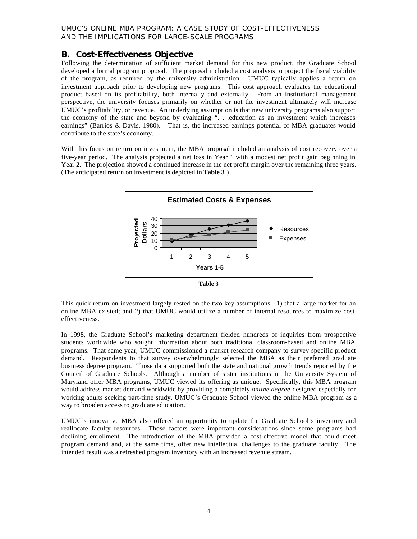#### **B. Cost-Effectiveness Objective**

Following the determination of sufficient market demand for this new product, the Graduate School developed a formal program proposal. The proposal included a cost analysis to project the fiscal viability of the program, as required by the university administration. UMUC typically applies a return on investment approach prior to developing new programs. This cost approach evaluates the educational product based on its profitability, both internally and externally. From an institutional management perspective, the university focuses primarily on whether or not the investment ultimately will increase UMUC's profitability, or revenue. An underlying assumption is that new university programs also support the economy of the state and beyond by evaluating ". . .education as an investment which increases earnings" (Barrios & Davis, 1980). That is, the increased earnings potential of MBA graduates would contribute to the state's economy.

With this focus on return on investment, the MBA proposal included an analysis of cost recovery over a five-year period. The analysis projected a net loss in Year 1 with a modest net profit gain beginning in Year 2. The projection showed a continued increase in the net profit margin over the remaining three years. (The anticipated return on investment is depicted in **Table 3**.)



**Table 3**

This quick return on investment largely rested on the two key assumptions: 1) that a large market for an online MBA existed; and 2) that UMUC would utilize a number of internal resources to maximize costeffectiveness.

In 1998, the Graduate School's marketing department fielded hundreds of inquiries from prospective students worldwide who sought information about both traditional classroom-based and online MBA programs. That same year, UMUC commissioned a market research company to survey specific product demand. Respondents to that survey overwhelmingly selected the MBA as their preferred graduate business degree program. Those data supported both the state and national growth trends reported by the Council of Graduate Schools. Although a number of sister institutions in the University System of Maryland offer MBA programs, UMUC viewed its offering as unique. Specifically, this MBA program would address market demand worldwide by providing a completely *online degree* designed especially for working adults seeking part-time study. UMUC's Graduate School viewed the online MBA program as a way to broaden access to graduate education.

UMUC's innovative MBA also offered an opportunity to update the Graduate School's inventory and reallocate faculty resources. Those factors were important considerations since some programs had declining enrollment. The introduction of the MBA provided a cost-effective model that could meet program demand and, at the same time, offer new intellectual challenges to the graduate faculty. The intended result was a refreshed program inventory with an increased revenue stream.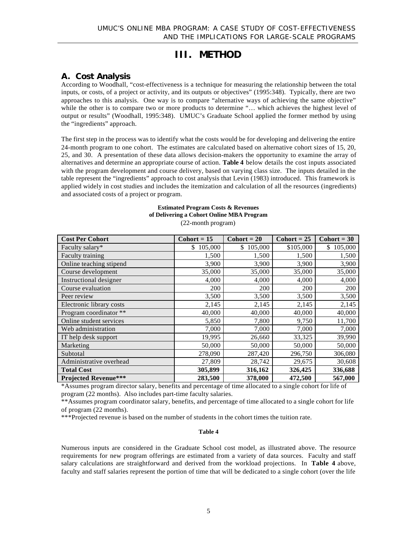## **III. METHOD**

#### **A. Cost Analysis**

According to Woodhall, "cost-effectiveness is a technique for measuring the relationship between the total inputs, or costs, of a project or activity, and its outputs or objectives" (1995:348). Typically, there are two approaches to this analysis. One way is to compare "alternative ways of achieving the same objective" while the other is to compare two or more products to determine "... which achieves the highest level of output or results" (Woodhall, 1995:348). UMUC's Graduate School applied the former method by using the "ingredients" approach.

The first step in the process was to identify what the costs would be for developing and delivering the entire 24-month program to one cohort. The estimates are calculated based on alternative cohort sizes of 15, 20, 25, and 30. A presentation of these data allows decision-makers the opportunity to examine the array of alternatives and determine an appropriate course of action. **Table 4** below details the cost inputs associated with the program development and course delivery, based on varying class size. The inputs detailed in the table represent the "ingredients" approach to cost analysis that Levin (1983) introduced. This framework is applied widely in cost studies and includes the itemization and calculation of all the resources (ingredients) and associated costs of a project or program.

#### **Estimated Program Costs & Revenues of Delivering a Cohort Online MBA Program**

| <b>Cost Per Cohort</b>      | $Cohort = 15$ | $Cohort = 20$ | $Cohort = 25$ | $\text{Cohort} = 30$ |
|-----------------------------|---------------|---------------|---------------|----------------------|
| Faculty salary*             | 105,000<br>\$ | \$105,000     | \$105,000     | \$105,000            |
| Faculty training            | 1,500         | 1,500         | 1,500         | 1,500                |
| Online teaching stipend     | 3,900         | 3,900         | 3,900         | 3,900                |
| Course development          | 35,000        | 35,000        | 35,000        | 35,000               |
| Instructional designer      | 4,000         | 4,000         | 4,000         | 4,000                |
| Course evaluation           | 200           | 200           | 200           | 200                  |
| Peer review                 | 3,500         | 3,500         | 3,500         | 3,500                |
| Electronic library costs    | 2,145         | 2,145         | 2,145         | 2,145                |
| Program coordinator **      | 40,000        | 40,000        | 40,000        | 40,000               |
| Online student services     | 5,850         | 7,800         | 9,750         | 11,700               |
| Web administration          | 7,000         | 7,000         | 7,000         | 7,000                |
| IT help desk support        | 19,995        | 26,660        | 33,325        | 39,990               |
| Marketing                   | 50,000        | 50,000        | 50,000        | 50,000               |
| Subtotal                    | 278,090       | 287,420       | 296,750       | 306,080              |
| Administrative overhead     | 27,809        | 28,742        | 29,675        | 30,608               |
| <b>Total Cost</b>           | 305,899       | 316,162       | 326,425       | 336,688              |
| <b>Projected Revenue***</b> | 283,500       | 378,000       | 472,500       | 567,000              |

(22-month program)

\*Assumes program director salary, benefits and percentage of time allocated to a single cohort for life of program (22 months). Also includes part-time faculty salaries.

\*\*Assumes program coordinator salary, benefits, and percentage of time allocated to a single cohort for life of program (22 months).

\*\*\*Projected revenue is based on the number of students in the cohort times the tuition rate.

#### **Table 4**

Numerous inputs are considered in the Graduate School cost model, as illustrated above. The resource requirements for new program offerings are estimated from a variety of data sources. Faculty and staff salary calculations are straightforward and derived from the workload projections. In **Table 4** above, faculty and staff salaries represent the portion of time that will be dedicated to a single cohort (over the life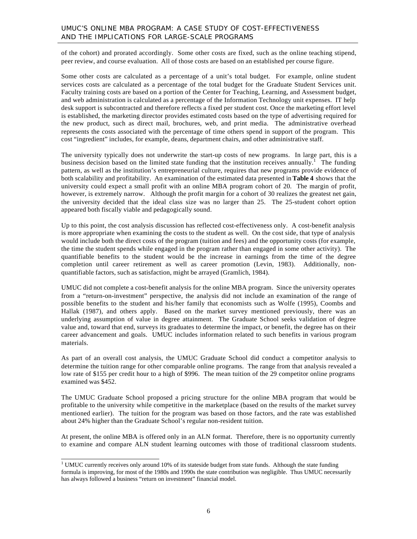of the cohort) and prorated accordingly. Some other costs are fixed, such as the online teaching stipend, peer review, and course evaluation. All of those costs are based on an established per course figure.

Some other costs are calculated as a percentage of a unit's total budget. For example, online student services costs are calculated as a percentage of the total budget for the Graduate Student Services unit. Faculty training costs are based on a portion of the Center for Teaching, Learning, and Assessment budget, and web administration is calculated as a percentage of the Information Technology unit expenses. IT help desk support is subcontracted and therefore reflects a fixed per student cost. Once the marketing effort level is established, the marketing director provides estimated costs based on the type of advertising required for the new product, such as direct mail, brochures, web, and print media. The administrative overhead represents the costs associated with the percentage of time others spend in support of the program. This cost "ingredient" includes, for example, deans, department chairs, and other administrative staff.

The university typically does not underwrite the start-up costs of new programs. In large part, this is a business decision based on the limited state funding that the institution receives annually.<sup>1</sup> The funding pattern, as well as the institution's entrepreneurial culture, requires that new programs provide evidence of both scalability and profitability. An examination of the estimated data presented in **Table 4** shows that the university could expect a small profit with an online MBA program cohort of 20. The margin of profit, however, is extremely narrow. Although the profit margin for a cohort of 30 realizes the greatest net gain, the university decided that the ideal class size was no larger than 25. The 25-student cohort option appeared both fiscally viable and pedagogically sound.

Up to this point, the cost analysis discussion has reflected cost-effectiveness only. A cost-benefit analysis is more appropriate when examining the costs to the student as well. On the cost side, that type of analysis would include both the direct costs of the program (tuition and fees) and the opportunity costs (for example, the time the student spends while engaged in the program rather than engaged in some other activity). The quantifiable benefits to the student would be the increase in earnings from the time of the degree completion until career retirement as well as career promotion (Levin, 1983). Additionally, nonquantifiable factors, such as satisfaction, might be arrayed (Gramlich, 1984).

UMUC did not complete a cost-benefit analysis for the online MBA program. Since the university operates from a "return-on-investment" perspective, the analysis did not include an examination of the range of possible benefits to the student and his/her family that economists such as Wolfe (1995), Coombs and Hallak (1987), and others apply. Based on the market survey mentioned previously, there was an underlying assumption of value in degree attainment. The Graduate School seeks validation of degree value and, toward that end, surveys its graduates to determine the impact, or benefit, the degree has on their career advancement and goals. UMUC includes information related to such benefits in various program materials.

As part of an overall cost analysis, the UMUC Graduate School did conduct a competitor analysis to determine the tuition range for other comparable online programs. The range from that analysis revealed a low rate of \$155 per credit hour to a high of \$996. The mean tuition of the 29 competitor online programs examined was \$452.

The UMUC Graduate School proposed a pricing structure for the online MBA program that would be profitable to the university while competitive in the marketplace (based on the results of the market survey mentioned earlier). The tuition for the program was based on those factors, and the rate was established about 24% higher than the Graduate School's regular non-resident tuition.

At present, the online MBA is offered only in an ALN format. Therefore, there is no opportunity currently to examine and compare ALN student learning outcomes with those of traditional classroom students.

<sup>&</sup>lt;sup>1</sup> UMUC currently receives only around 10% of its stateside budget from state funds. Although the state funding formula is improving, for most of the 1980s and 1990s the state contribution was negligible. Thus UMUC necessarily has always followed a business "return on investment" financial model.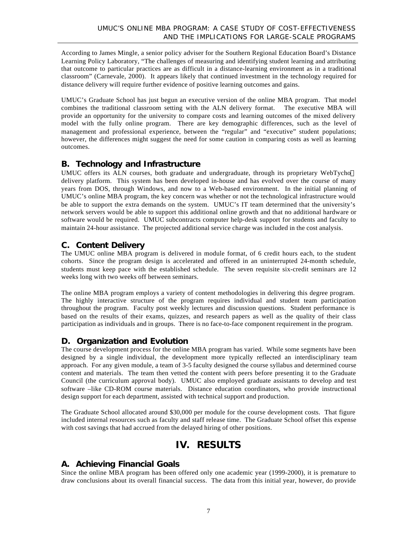According to James Mingle, a senior policy adviser for the Southern Regional Education Board's Distance Learning Policy Laboratory, "The challenges of measuring and identifying student learning and attributing that outcome to particular practices are as difficult in a distance-learning environment as in a traditional classroom" (Carnevale, 2000). It appears likely that continued investment in the technology required for distance delivery will require further evidence of positive learning outcomes and gains.

UMUC's Graduate School has just begun an executive version of the online MBA program. That model combines the traditional classroom setting with the ALN delivery format. The executive MBA will provide an opportunity for the university to compare costs and learning outcomes of the mixed delivery model with the fully online program. There are key demographic differences, such as the level of management and professional experience, between the "regular" and "executive" student populations; however, the differences might suggest the need for some caution in comparing costs as well as learning outcomes.

### **B. Technology and Infrastructure**

UMUC offers its ALN courses, both graduate and undergraduate, through its proprietary WebTycho<sup>™</sup> delivery platform. This system has been developed in-house and has evolved over the course of many years from DOS, through Windows, and now to a Web-based environment. In the initial planning of UMUC's online MBA program, the key concern was whether or not the technological infrastructure would be able to support the extra demands on the system. UMUC's IT team determined that the university's network servers would be able to support this additional online growth and that no additional hardware or software would be required. UMUC subcontracts computer help-desk support for students and faculty to maintain 24-hour assistance. The projected additional service charge was included in the cost analysis.

### **C. Content Delivery**

The UMUC online MBA program is delivered in module format, of 6 credit hours each, to the student cohorts. Since the program design is accelerated and offered in an uninterrupted 24-month schedule, students must keep pace with the established schedule. The seven requisite six-credit seminars are 12 weeks long with two weeks off between seminars.

The online MBA program employs a variety of content methodologies in delivering this degree program. The highly interactive structure of the program requires individual and student team participation throughout the program. Faculty post weekly lectures and discussion questions. Student performance is based on the results of their exams, quizzes, and research papers as well as the quality of their class participation as individuals and in groups. There is no face-to-face component requirement in the program.

#### **D. Organization and Evolution**

The course development process for the online MBA program has varied. While some segments have been designed by a single individual, the development more typically reflected an interdisciplinary team approach. For any given module, a team of 3-5 faculty designed the course syllabus and determined course content and materials. The team then vetted the content with peers before presenting it to the Graduate Council (the curriculum approval body). UMUC also employed graduate assistants to develop and test software –like CD-ROM course materials. Distance education coordinators, who provide instructional design support for each department, assisted with technical support and production.

The Graduate School allocated around \$30,000 per module for the course development costs. That figure included internal resources such as faculty and staff release time. The Graduate School offset this expense with cost savings that had accrued from the delayed hiring of other positions.

# **IV. RESULTS**

### **A. Achieving Financial Goals**

Since the online MBA program has been offered only one academic year (1999-2000), it is premature to draw conclusions about its overall financial success. The data from this initial year, however, do provide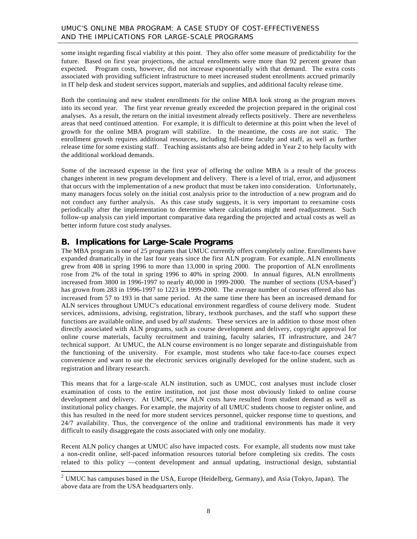some insight regarding fiscal viability at this point. They also offer some measure of predictability for the future. Based on first year projections, the actual enrollments were more than 92 percent greater than expected. Program costs, however, did not increase exponentially with that demand. The extra costs associated with providing sufficient infrastructure to meet increased student enrollments accrued primarily in IT help desk and student services support, materials and supplies, and additional faculty release time.

Both the continuing and new student enrollments for the online MBA look strong as the program moves into its second year. The first year revenue greatly exceeded the projection prepared in the original cost analyses. As a result, the return on the initial investment already reflects positively. There are nevertheless areas that need continued attention. For example, it is difficult to determine at this point when the level of growth for the online MBA program will stabilize. In the meantime, the costs are not static. The enrollment growth requires additional resources, including full-time faculty and staff, as well as further release time for some existing staff. Teaching assistants also are being added in Year 2 to help faculty with the additional workload demands.

Some of the increased expense in the first year of offering the online MBA is a result of the process changes inherent in new program development and delivery. There is a level of trial, error, and adjustment that occurs with the implementation of a new product that must be taken into consideration. Unfortunately, many managers focus solely on the initial cost analysis prior to the introduction of a new program and do not conduct any further analysis. As this case study suggests, it is very important to reexamine costs periodically after the implementation to determine where calculations might need readjustment. Such follow-up analysis can yield important comparative data regarding the projected and actual costs as well as better inform future cost study analyses.

#### **B. Implications for Large-Scale Programs**

l

The MBA program is one of 25 programs that UMUC currently offers completely online. Enrollments have expanded dramatically in the last four years since the first ALN program. For example, ALN enrollments grew from 408 in spring 1996 to more than 13,000 in spring 2000. The proportion of ALN enrollments rose from 2% of the total in spring 1996 to 40% in spring 2000. In annual figures, ALN enrollments increased from 3800 in 1996-1997 to nearly 40,000 in 1999-2000. The number of sections (USA-based<sup>2</sup>) has grown from 283 in 1996-1997 to 1223 in 1999-2000. The average number of courses offered also has increased from 57 to 193 in that same period. At the same time there has been an increased demand for ALN services throughout UMUC's educational environment regardless of course delivery mode. Student services, admissions, advising, registration, library, textbook purchases, and the staff who support these functions are available online, and used by *all students*. These services are in addition to those most often directly associated with ALN programs, such as course development and delivery, copyright approval for online course materials, faculty recruitment and training, faculty salaries, IT infrastructure, and 24/7 technical support. At UMUC, the ALN course environment is no longer separate and distinguishable from the functioning of the university. For example, most students who take face-to-face courses expect convenience and want to use the electronic services originally developed for the online student, such as registration and library research.

This means that for a large-scale ALN institution, such as UMUC, cost analyses must include closer examination of costs to the entire institution, not just those most obviously linked to online course development and delivery. At UMUC, new ALN costs have resulted from student demand as well as institutional policy changes. For example, the majority of all UMUC students choose to register online, and this has resulted in the need for more student services personnel, quicker response time to questions, and 24/7 availability. Thus, the convergence of the online and traditional environments has made it very difficult to easily disaggregate the costs associated with only one modality.

Recent ALN policy changes at UMUC also have impacted costs. For example, all students now must take a non-credit online, self-paced information resources tutorial before completing six credits. The costs related to this policy —content development and annual updating, instructional design, substantial

<sup>&</sup>lt;sup>2</sup> UMUC has campuses based in the USA, Europe (Heidelberg, Germany), and Asia (Tokyo, Japan). The above data are from the USA headquarters only.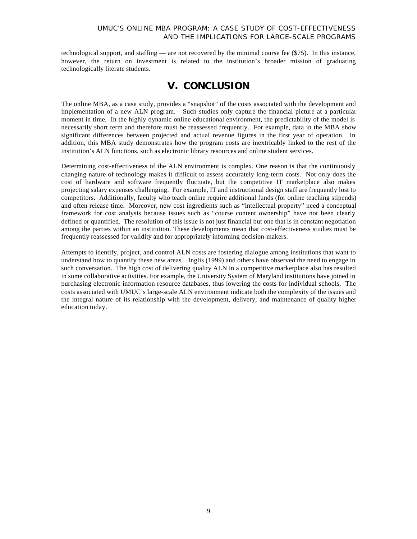technological support, and staffing — are not recovered by the minimal course fee (\$75). In this instance, however, the return on investment is related to the institution's broader mission of graduating technologically literate students.

### **V. CONCLUSION**

The online MBA, as a case study, provides a "snapshot" of the costs associated with the development and implementation of a new ALN program. Such studies only capture the financial picture at a particular moment in time. In the highly dynamic online educational environment, the predictability of the model is necessarily short term and therefore must be reassessed frequently. For example, data in the MBA show significant differences between projected and actual revenue figures in the first year of operation. In addition, this MBA study demonstrates how the program costs are inextricably linked to the rest of the institution's ALN functions, such as electronic library resources and online student services.

Determining cost-effectiveness of the ALN environment is complex. One reason is that the continuously changing nature of technology makes it difficult to assess accurately long-term costs. Not only does the cost of hardware and software frequently fluctuate, but the competitive IT marketplace also makes projecting salary expenses challenging. For example, IT and instructional design staff are frequently lost to competitors. Additionally, faculty who teach online require additional funds (for online teaching stipends) and often release time. Moreover, new cost ingredients such as "intellectual property" need a conceptual framework for cost analysis because issues such as "course content ownership" have not been clearly defined or quantified. The resolution of this issue is not just financial but one that is in constant negotiation among the parties within an institution. These developments mean that cost-effectiveness studies must be frequently reassessed for validity and for appropriately informing decision-makers.

Attempts to identify, project, and control ALN costs are fostering dialogue among institutions that want to understand how to quantify these new areas. Inglis (1999) and others have observed the need to engage in such conversation. The high cost of delivering quality ALN in a competitive marketplace also has resulted in some collaborative activities. For example, the University System of Maryland institutions have joined in purchasing electronic information resource databases, thus lowering the costs for individual schools. The costs associated with UMUC's large-scale ALN environment indicate both the complexity of the issues and the integral nature of its relationship with the development, delivery, and maintenance of quality higher education today.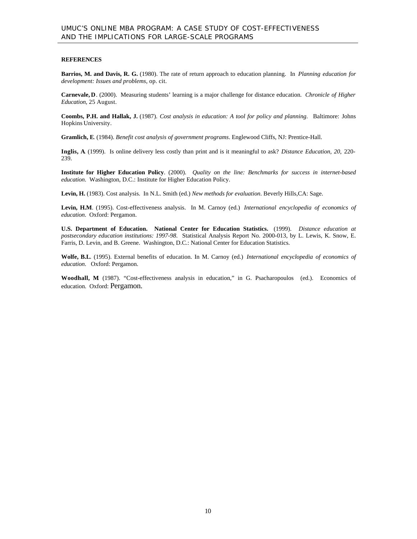#### **REFERENCES**

**Barrios, M. and Davis, R. G.** (1980). The rate of return approach to education planning. In *Planning education for development: Issues and problems*, op. cit.

**Carnevale, D**. (2000). Measuring students' learning is a major challenge for distance education. *Chronicle of Higher Education*, 25 August.

**Coombs, P.H. and Hallak, J.** (1987). *Cost analysis in education: A tool for policy and planning*. Baltimore: Johns Hopkins University.

**Gramlich, E**. (1984). *Benefit cost analysis of government programs*. Englewood Cliffs, NJ: Prentice-Hall.

**Inglis, A**. (1999). Is online delivery less costly than print and is it meaningful to ask? *Distance Education, 20*, 220- 239.

**Institute for Higher Education Policy**. (2000). *Quality on the line: Benchmarks for success in internet-based education*. Washington, D.C.: Institute for Higher Education Policy.

**Levin, H.** (1983). Cost analysis. In N.L. Smith (ed.) *New methods for evaluation*. Beverly Hills,CA: Sage.

**Levin, H.M**. (1995). Cost-effectiveness analysis. In M. Carnoy (ed.) *International encyclopedia of economics of education*. Oxford: Pergamon.

**U.S. Department of Education. National Center for Education Statistics.** (1999). *Distance education at postsecondary education institutions: 1997-98*. Statistical Analysis Report No. 2000-013, by L. Lewis, K. Snow, E. Farris, D. Levin, and B. Greene. Washington, D.C.: National Center for Education Statistics.

**Wolfe, B.L**. (1995). External benefits of education. In M. Carnoy (ed.) *International encyclopedia of economics of education*. Oxford: Pergamon.

**Woodhall, M**. (1987). "Cost-effectiveness analysis in education," in G. Psacharopoulos (ed.). Economics of education. Oxford: Pergamon.